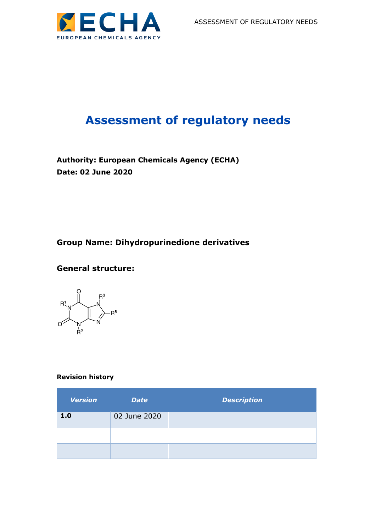

# **Assessment of regulatory needs**

**Authority: European Chemicals Agency (ECHA) Date: 02 June 2020**

### **Group Name: Dihydropurinedione derivatives**

### **General structure:**

 $\begin{picture}(120,115) \put(150,115){\line(1,0){150}} \put(150,115){\line(1,0){150}} \put(150,115){\line(1,0){150}} \put(150,115){\line(1,0){150}} \put(150,115){\line(1,0){150}} \put(150,115){\line(1,0){150}} \put(150,115){\line(1,0){150}} \put(150,115){\line(1,0){150}} \put(150,115){\line(1,0){150}} \put(150,11$  $-R^8$ 

#### **Revision history**

| <b>Version</b> | <b>Date</b>  | <b>Description</b> |
|----------------|--------------|--------------------|
| 1.0            | 02 June 2020 |                    |
|                |              |                    |
|                |              |                    |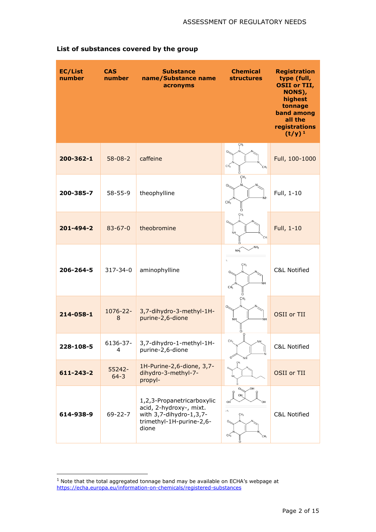| <b>EC/List</b><br>number | <b>CAS</b><br>number | <b>Substance</b><br>name/Substance name<br>acronyms                                                                   | <b>Chemical</b><br><b>structures</b>                                                   | <b>Registration</b><br>type (full,<br><b>OSII</b> or TII,<br>NONS),<br>highest<br>tonnage<br>band among<br>all the<br>registrations<br>$(t/y)^1$ |
|--------------------------|----------------------|-----------------------------------------------------------------------------------------------------------------------|----------------------------------------------------------------------------------------|--------------------------------------------------------------------------------------------------------------------------------------------------|
| 200-362-1                | $58 - 08 - 2$        | caffeine                                                                                                              | ÇН <sub>3</sub><br>$\Omega$<br>CH <sub>3</sub><br>CH <sub>3</sub>                      | Full, 100-1000                                                                                                                                   |
| 200-385-7                | $58 - 55 - 9$        | theophylline                                                                                                          | CH <sub>3</sub><br>ŃΗ<br>CH <sub>3</sub>                                               | Full, 1-10                                                                                                                                       |
| 201-494-2                | $83 - 67 - 0$        | ÇH <sub>3</sub><br>theobromine<br>CH.                                                                                 |                                                                                        | Full, 1-10                                                                                                                                       |
| 206-264-5                | 317-34-0             | aminophylline                                                                                                         | NH <sub>2</sub><br>NH <sub>2</sub><br>$b_2$<br>ÇН <sub>3</sub><br>CH <sub>3</sub>      | <b>C&amp;L Notified</b>                                                                                                                          |
| 214-058-1                | 1076-22-<br>8        | 3,7-dihydro-3-methyl-1H-<br>purine-2,6-dione                                                                          | CH <sub>3</sub><br>ŃH<br><b>NH</b>                                                     | OSII or TII                                                                                                                                      |
| 228-108-5                | 6136-37-<br>4        | 3,7-dihydro-1-methyl-1H-<br>purine-2,6-dione                                                                          | CH <sub>3</sub><br>.NH<br>റ്<br>ΝH                                                     | C&L Notified                                                                                                                                     |
| 611-243-2                | 55242-<br>$64 - 3$   | 1H-Purine-2,6-dione, 3,7-<br>dihydro-3-methyl-7-<br>propyl-                                                           | ÇH <sub>3</sub>                                                                        | OSII or TII                                                                                                                                      |
| 614-938-9                | $69 - 22 - 7$        | 1,2,3-Propanetricarboxylic<br>acid, 2-hydroxy-, mixt.<br>with 3,7-dihydro-1,3,7-<br>trimethyl-1H-purine-2,6-<br>dione | HO.<br>OH<br>OH<br>$\sqrt{0}$<br>CH <sub>3</sub><br>CH <sub>3</sub><br>CH <sub>3</sub> | <b>C&amp;L Notified</b>                                                                                                                          |

### **List of substances covered by the group**

 $<sup>1</sup>$  Note that the total aggregated tonnage band may be available on ECHA's webpage at</sup> <https://echa.europa.eu/information-on-chemicals/registered-substances>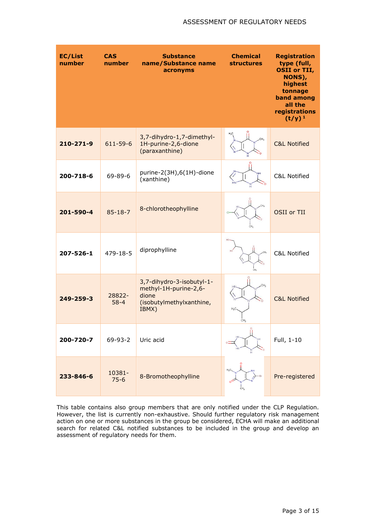| <b>EC/List</b><br>number | <b>CAS</b><br>number | <b>Substance</b><br>name/Substance name<br>acronyms                                              | <b>Chemical</b><br><b>structures</b> | <b>Registration</b><br>type (full,<br><b>OSII or TII,</b><br>NONS),<br>highest<br>tonnage<br>band among<br>all the<br>registrations<br>$(t/y)^1$ |
|--------------------------|----------------------|--------------------------------------------------------------------------------------------------|--------------------------------------|--------------------------------------------------------------------------------------------------------------------------------------------------|
| 210-271-9                | $611 - 59 - 6$       | 3,7-dihydro-1,7-dimethyl-<br>1H-purine-2,6-dione<br>(paraxanthine)                               | $H_2C$                               | <b>C&amp;L Notified</b>                                                                                                                          |
| 200-718-6                | $69 - 89 - 6$        | purine-2(3H),6(1H)-dione<br>(xanthine)                                                           |                                      | C&L Notified                                                                                                                                     |
| 201-590-4                | $85 - 18 - 7$        | 8-chlorotheophylline                                                                             | CH <sub>2</sub>                      | OSII or TII                                                                                                                                      |
| $207 - 526 - 1$          | $479 - 18 - 5$       | diprophylline                                                                                    | CH <sub>2</sub>                      | C&L Notified                                                                                                                                     |
| $249 - 259 - 3$          | 28822-<br>$58 - 4$   | 3,7-dihydro-3-isobutyl-1-<br>methyl-1H-purine-2,6-<br>dione<br>(isobutylmethylxanthine,<br>IBMX) | $H_2C$<br>CH <sub>3</sub>            | <b>C&amp;L Notified</b>                                                                                                                          |
| 200-720-7                | 69-93-2              | Uric acid                                                                                        | ů                                    | Full, 1-10                                                                                                                                       |
| 233-846-6                | 10381-<br>$75 - 6$   | 8-Bromotheophylline                                                                              | CH <sub>3</sub>                      | Pre-registered                                                                                                                                   |

This table contains also group members that are only notified under the CLP Regulation. However, the list is currently non-exhaustive. Should further regulatory risk management action on one or more substances in the group be considered, ECHA will make an additional search for related C&L notified substances to be included in the group and develop an assessment of regulatory needs for them.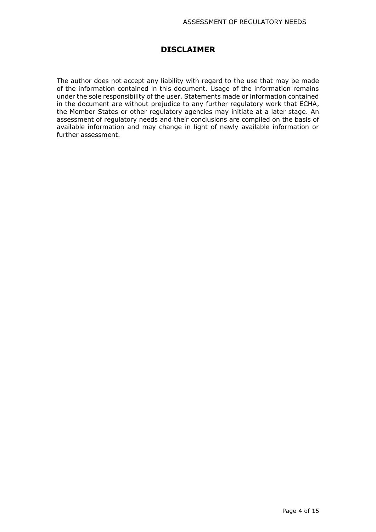#### **DISCLAIMER**

The author does not accept any liability with regard to the use that may be made of the information contained in this document. Usage of the information remains under the sole responsibility of the user. Statements made or information contained in the document are without prejudice to any further regulatory work that ECHA, the Member States or other regulatory agencies may initiate at a later stage. An assessment of regulatory needs and their conclusions are compiled on the basis of available information and may change in light of newly available information or further assessment.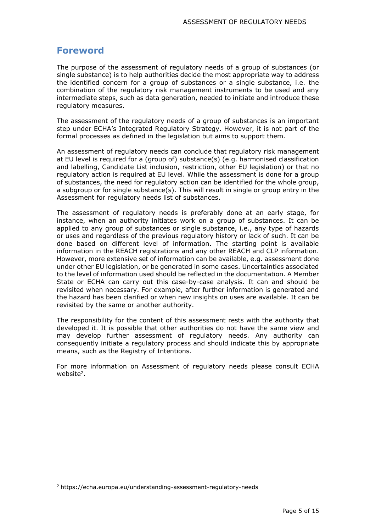### **Foreword**

The purpose of the assessment of regulatory needs of a group of substances (or single substance) is to help authorities decide the most appropriate way to address the identified concern for a group of substances or a single substance, i.e. the combination of the regulatory risk management instruments to be used and any intermediate steps, such as data generation, needed to initiate and introduce these regulatory measures.

The assessment of the regulatory needs of a group of substances is an important step under ECHA's Integrated Regulatory Strategy. However, it is not part of the formal processes as defined in the legislation but aims to support them.

An assessment of regulatory needs can conclude that regulatory risk management at EU level is required for a (group of) substance(s) (e.g. harmonised classification and labelling, Candidate List inclusion, restriction, other EU legislation) or that no regulatory action is required at EU level. While the assessment is done for a group of substances, the need for regulatory action can be identified for the whole group, a subgroup or for single substance(s). This will result in single or group entry in the Assessment for regulatory needs list of substances.

The assessment of regulatory needs is preferably done at an early stage, for instance, when an authority initiates work on a group of substances. It can be applied to any group of substances or single substance, i.e., any type of hazards or uses and regardless of the previous regulatory history or lack of such. It can be done based on different level of information. The starting point is available information in the REACH registrations and any other REACH and CLP information. However, more extensive set of information can be available, e.g. assessment done under other EU legislation, or be generated in some cases. Uncertainties associated to the level of information used should be reflected in the documentation. A Member State or ECHA can carry out this case-by-case analysis. It can and should be revisited when necessary. For example, after further information is generated and the hazard has been clarified or when new insights on uses are available. It can be revisited by the same or another authority.

The responsibility for the content of this assessment rests with the authority that developed it. It is possible that other authorities do not have the same view and may develop further assessment of regulatory needs. Any authority can consequently initiate a regulatory process and should indicate this by appropriate means, such as the Registry of Intentions.

For more information on Assessment of regulatory needs please consult ECHA website<sup>2</sup>.

<sup>2</sup> https://echa.europa.eu/understanding-assessment-regulatory-needs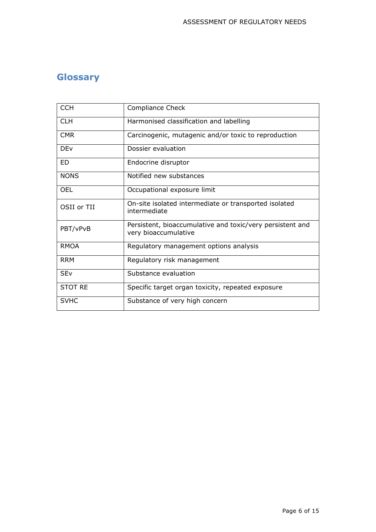# **Glossary**

| <b>CCH</b>            | Compliance Check                                                                  |
|-----------------------|-----------------------------------------------------------------------------------|
| <b>CLH</b>            | Harmonised classification and labelling                                           |
| <b>CMR</b>            | Carcinogenic, mutagenic and/or toxic to reproduction                              |
| <b>DEv</b>            | Dossier evaluation                                                                |
| ED.                   | Endocrine disruptor                                                               |
| <b>NONS</b>           | Notified new substances                                                           |
| <b>OEL</b>            | Occupational exposure limit                                                       |
| OSII or TII           | On-site isolated intermediate or transported isolated<br>intermediate             |
| PBT/vPvB              | Persistent, bioaccumulative and toxic/very persistent and<br>very bioaccumulative |
| <b>RMOA</b>           | Regulatory management options analysis                                            |
| <b>RRM</b>            | Regulatory risk management                                                        |
| <b>SE<sub>V</sub></b> | Substance evaluation                                                              |
| <b>STOT RE</b>        | Specific target organ toxicity, repeated exposure                                 |
| <b>SVHC</b>           | Substance of very high concern                                                    |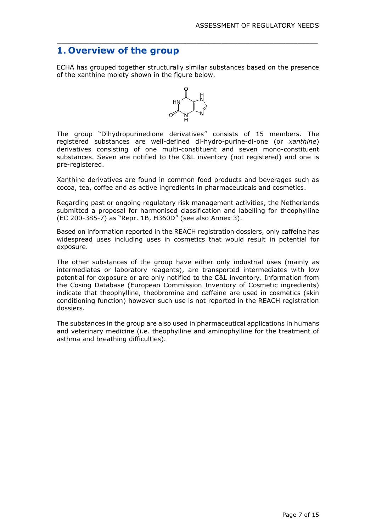## **1. Overview of the group**

ECHA has grouped together structurally similar substances based on the presence of the xanthine moiety shown in the figure below.

 $\_$  , and the set of the set of the set of the set of the set of the set of the set of the set of the set of the set of the set of the set of the set of the set of the set of the set of the set of the set of the set of th



The group "Dihydropurinedione derivatives" consists of 15 members. The registered substances are well-defined di-hydro-purine-di-one (or *xanthine*) derivatives consisting of one multi-constituent and seven mono-constituent substances. Seven are notified to the C&L inventory (not registered) and one is pre-registered.

Xanthine derivatives are found in common food products and beverages such as cocoa, tea, coffee and as active ingredients in pharmaceuticals and cosmetics.

Regarding past or ongoing regulatory risk management activities, the Netherlands submitted a proposal for harmonised classification and labelling for theophylline (EC 200-385-7) as "Repr. 1B, H360D" (see also Annex 3).

Based on information reported in the REACH registration dossiers, only caffeine has widespread uses including uses in cosmetics that would result in potential for exposure.

The other substances of the group have either only industrial uses (mainly as intermediates or laboratory reagents), are transported intermediates with low potential for exposure or are only notified to the C&L inventory. Information from the Cosing Database (European Commission Inventory of Cosmetic ingredients) indicate that theophylline, theobromine and caffeine are used in cosmetics (skin conditioning function) however such use is not reported in the REACH registration dossiers.

The substances in the group are also used in pharmaceutical applications in humans and veterinary medicine (i.e. theophylline and aminophylline for the treatment of asthma and breathing difficulties).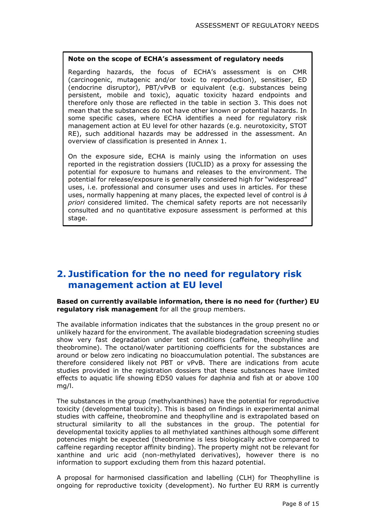#### **Note on the scope of ECHA's assessment of regulatory needs**

Regarding hazards, the focus of ECHA's assessment is on CMR (carcinogenic, mutagenic and/or toxic to reproduction), sensitiser, ED (endocrine disruptor), PBT/vPvB or equivalent (e.g. substances being persistent, mobile and toxic), aquatic toxicity hazard endpoints and therefore only those are reflected in the table in section 3. This does not mean that the substances do not have other known or potential hazards. In some specific cases, where ECHA identifies a need for regulatory risk management action at EU level for other hazards (e.g. neurotoxicity, STOT RE), such additional hazards may be addressed in the assessment. An overview of classification is presented in Annex 1.

On the exposure side, ECHA is mainly using the information on uses reported in the registration dossiers (IUCLID) as a proxy for assessing the potential for exposure to humans and releases to the environment. The potential for release/exposure is generally considered high for "widespread" uses, i.e. professional and consumer uses and uses in articles. For these uses, normally happening at many places, the expected level of control is *à priori* considered limited. The chemical safety reports are not necessarily consulted and no quantitative exposure assessment is performed at this stage.

# **2. Justification for the no need for regulatory risk management action at EU level**

#### **Based on currently available information, there is no need for (further) EU regulatory risk management** for all the group members.

The available information indicates that the substances in the group present no or unlikely hazard for the environment. The available biodegradation screening studies show very fast degradation under test conditions (caffeine, theophylline and theobromine). The octanol/water partitioning coefficients for the substances are around or below zero indicating no bioaccumulation potential. The substances are therefore considered likely not PBT or vPvB. There are indications from acute studies provided in the registration dossiers that these substances have limited effects to aquatic life showing ED50 values for daphnia and fish at or above 100 mg/l.

The substances in the group (methylxanthines) have the potential for reproductive toxicity (developmental toxicity). This is based on findings in experimental animal studies with caffeine, theobromine and theophylline and is extrapolated based on structural similarity to all the substances in the group. The potential for developmental toxicity applies to all methylated xanthines although some different potencies might be expected (theobromine is less biologically active compared to caffeine regarding receptor affinity binding). The property might not be relevant for xanthine and uric acid (non-methylated derivatives), however there is no information to support excluding them from this hazard potential.

A proposal for harmonised classification and labelling (CLH) for Theophylline is ongoing for reproductive toxicity (development). No further EU RRM is currently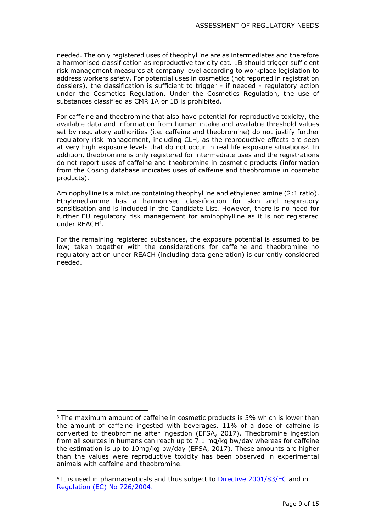needed. The only registered uses of theophylline are as intermediates and therefore a harmonised classification as reproductive toxicity cat. 1B should trigger sufficient risk management measures at company level according to workplace legislation to address workers safety. For potential uses in cosmetics (not reported in registration dossiers), the classification is sufficient to trigger - if needed - regulatory action under the Cosmetics Regulation. Under the Cosmetics Regulation, the use of substances classified as CMR 1A or 1B is prohibited.

For caffeine and theobromine that also have potential for reproductive toxicity, the available data and information from human intake and available threshold values set by regulatory authorities (i.e. caffeine and theobromine) do not justify further regulatory risk management, including CLH, as the reproductive effects are seen at very high exposure levels that do not occur in real life exposure situations<sup>3</sup>. In addition, theobromine is only registered for intermediate uses and the registrations do not report uses of caffeine and theobromine in cosmetic products (information from the Cosing database indicates uses of caffeine and theobromine in cosmetic products).

Aminophylline is a mixture containing theophylline and ethylenediamine (2:1 ratio). Ethylenediamine has a harmonised classification for skin and respiratory sensitisation and is included in the Candidate List. However, there is no need for further EU regulatory risk management for aminophylline as it is not registered under REACH<sup>4</sup> .

For the remaining registered substances, the exposure potential is assumed to be low; taken together with the considerations for caffeine and theobromine no regulatory action under REACH (including data generation) is currently considered needed.

<sup>&</sup>lt;sup>3</sup> The maximum amount of caffeine in cosmetic products is 5% which is lower than the amount of caffeine ingested with beverages. 11% of a dose of caffeine is converted to theobromine after ingestion (EFSA, 2017). Theobromine ingestion from all sources in humans can reach up to 7.1 mg/kg bw/day whereas for caffeine the estimation is up to 10mg/kg bw/day (EFSA, 2017). These amounts are higher than the values were reproductive toxicity has been observed in experimental animals with caffeine and theobromine.

<sup>&</sup>lt;sup>4</sup> It is used in pharmaceuticals and thus subject to **Directive 2001/83/EC** and in [Regulation \(EC\) No 726/2004.](http://eur-lex.europa.eu/LexUriServ/LexUriServ.do?uri=OJ:L:2004:136:0001:0033:en:PDF)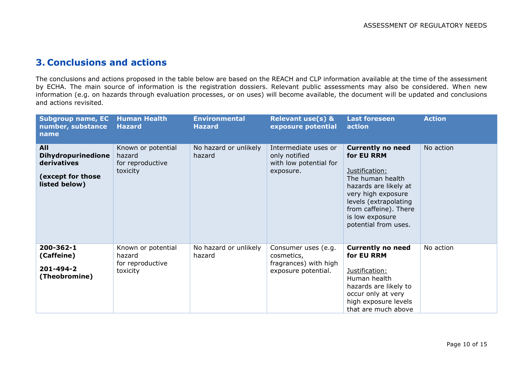## **3. Conclusions and actions**

The conclusions and actions proposed in the table below are based on the REACH and CLP information available at the time of the assessment by ECHA. The main source of information is the registration dossiers. Relevant public assessments may also be considered. When new information (e.g. on hazards through evaluation processes, or on uses) will become available, the document will be updated and conclusions and actions revisited.

| <b>Subgroup name, EC</b><br>number, substance<br>name                                 | <b>Human Health</b><br><b>Hazard</b>                         | <b>Environmental</b><br><b>Hazard</b> | <b>Relevant use(s) &amp;</b><br>exposure potential                                | <b>Last foreseen</b><br>action                                                                                                                                                                                           | <b>Action</b> |
|---------------------------------------------------------------------------------------|--------------------------------------------------------------|---------------------------------------|-----------------------------------------------------------------------------------|--------------------------------------------------------------------------------------------------------------------------------------------------------------------------------------------------------------------------|---------------|
| All<br><b>Dihydropurinedione</b><br>derivatives<br>(except for those<br>listed below) | Known or potential<br>hazard<br>for reproductive<br>toxicity | No hazard or unlikely<br>hazard       | Intermediate uses or<br>only notified<br>with low potential for<br>exposure.      | <b>Currently no need</b><br>for EU RRM<br>Justification:<br>The human health<br>hazards are likely at<br>very high exposure<br>levels (extrapolating<br>from caffeine). There<br>is low exposure<br>potential from uses. | No action     |
| 200-362-1<br>(Caffeine)<br>201-494-2<br>(Theobromine)                                 | Known or potential<br>hazard<br>for reproductive<br>toxicity | No hazard or unlikely<br>hazard       | Consumer uses (e.g.<br>cosmetics,<br>fragrances) with high<br>exposure potential. | <b>Currently no need</b><br>for EU RRM<br>Justification:<br>Human health<br>hazards are likely to<br>occur only at very<br>high exposure levels<br>that are much above                                                   | No action     |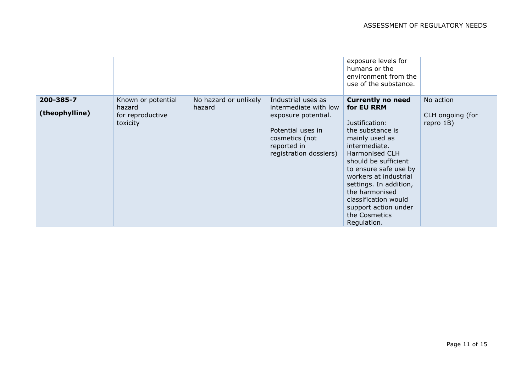|                             |                                                              |                                 |                                                                                                                                                    | exposure levels for<br>humans or the<br>environment from the<br>use of the substance.                                                                                                                                                                                                                                                   |                                            |
|-----------------------------|--------------------------------------------------------------|---------------------------------|----------------------------------------------------------------------------------------------------------------------------------------------------|-----------------------------------------------------------------------------------------------------------------------------------------------------------------------------------------------------------------------------------------------------------------------------------------------------------------------------------------|--------------------------------------------|
| 200-385-7<br>(theophylline) | Known or potential<br>hazard<br>for reproductive<br>toxicity | No hazard or unlikely<br>hazard | Industrial uses as<br>intermediate with low<br>exposure potential.<br>Potential uses in<br>cosmetics (not<br>reported in<br>registration dossiers) | <b>Currently no need</b><br>for EU RRM<br>Justification:<br>the substance is<br>mainly used as<br>intermediate.<br>Harmonised CLH<br>should be sufficient<br>to ensure safe use by<br>workers at industrial<br>settings. In addition,<br>the harmonised<br>classification would<br>support action under<br>the Cosmetics<br>Regulation. | No action<br>CLH ongoing (for<br>repro 1B) |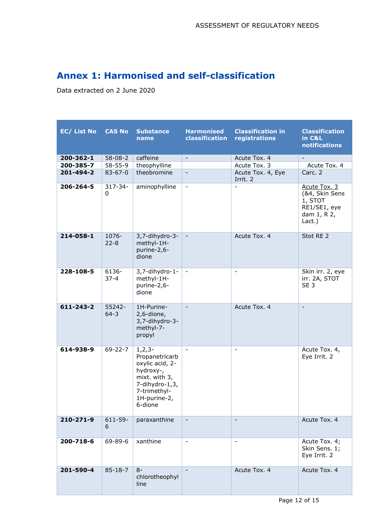# **Annex 1: Harmonised and self-classification**

Data extracted on 2 June 2020

| EC/ List No     | <b>CAS No</b>      | <b>Substance</b><br>name                                                                                                                   | <b>Harmonised</b><br>classification | <b>Classification in</b><br>registrations | <b>Classification</b><br>in C&L<br>notifications                                   |
|-----------------|--------------------|--------------------------------------------------------------------------------------------------------------------------------------------|-------------------------------------|-------------------------------------------|------------------------------------------------------------------------------------|
| 200-362-1       | $58 - 08 - 2$      | caffeine                                                                                                                                   | $\overline{\phantom{a}}$            | Acute Tox. 4                              | $\overline{\phantom{a}}$                                                           |
| 200-385-7       | $58 - 55 - 9$      | theophylline                                                                                                                               |                                     | Acute Tox. 3                              | Acute Tox. 4                                                                       |
| 201-494-2       | $83 - 67 - 0$      | theobromine                                                                                                                                | $\blacksquare$                      | Acute Tox. 4, Eye<br>Irrit. 2             | Carc. 2                                                                            |
| 206-264-5       | $317 - 34 -$<br>0  | aminophylline                                                                                                                              | $\overline{\phantom{a}}$            | $\blacksquare$                            | Acute Tox. 3<br>(&4, Skin Sens<br>1, STOT<br>RE1/SE1, eye<br>dam 1, R 2,<br>Lact.) |
| 214-058-1       | 1076-<br>$22 - 8$  | 3,7-dihydro-3-<br>methyl-1H-<br>purine-2,6-<br>dione                                                                                       | $\overline{\phantom{a}}$            | Acute Tox. 4                              | Stot RE 2                                                                          |
| 228-108-5       | 6136-<br>$37 - 4$  | 3,7-dihydro-1-<br>methyl-1H-<br>purine-2,6-<br>dione                                                                                       | $\overline{\phantom{a}}$            | $\overline{\phantom{a}}$                  | Skin irr. 2, eye<br>irr. 2A, STOT<br>SE <sub>3</sub>                               |
| $611 - 243 - 2$ | 55242-<br>$64 - 3$ | 1H-Purine-<br>2,6-dione,<br>3,7-dihydro-3-<br>methyl-7-<br>propyl                                                                          | $\blacksquare$                      | Acute Tox. 4                              | $\overline{\phantom{a}}$                                                           |
| 614-938-9       | $69 - 22 - 7$      | $1, 2, 3-$<br>Propanetricarb<br>oxylic acid, 2-<br>hydroxy-,<br>mixt. with 3,<br>7-dihydro-1,3,<br>7-trimethyl-<br>1H-purine-2,<br>6-dione |                                     | $\overline{\phantom{a}}$                  | Acute Tox. 4,<br>Eye Irrit. 2                                                      |
| 210-271-9       | 611-59-<br>6       | paraxanthine                                                                                                                               | $\overline{\phantom{a}}$            | $\overline{\phantom{a}}$                  | Acute Tox. 4                                                                       |
| 200-718-6       | 69-89-6            | xanthine                                                                                                                                   |                                     | $\qquad \qquad \blacksquare$              | Acute Tox. 4;<br>Skin Sens. 1;<br>Eye Irrit. 2                                     |
| 201-590-4       | $85 - 18 - 7$      | $8-$<br>chlorotheophyl<br>line                                                                                                             |                                     | Acute Tox. 4                              | Acute Tox. 4                                                                       |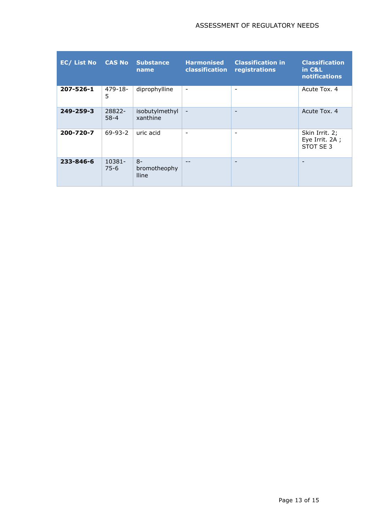#### ASSESSMENT OF REGULATORY NEEDS

| <b>EC/ List No</b> | <b>CAS No</b>      | <b>Substance</b><br>name             | <b>Harmonised</b><br><b>classification</b> | <b>Classification in</b><br>registrations | <b>Classification</b><br>in C&L<br>notifications |
|--------------------|--------------------|--------------------------------------|--------------------------------------------|-------------------------------------------|--------------------------------------------------|
| 207-526-1          | 479-18-<br>5       | diprophylline                        | $\overline{\phantom{a}}$                   | $\qquad \qquad -$                         | Acute Tox. 4                                     |
| 249-259-3          | 28822-<br>$58 - 4$ | isobutylmethyl<br>xanthine           | $\overline{\phantom{a}}$                   | $\overline{\phantom{a}}$                  | Acute Tox. 4                                     |
| 200-720-7          | $69 - 93 - 2$      | uric acid                            | $\overline{\phantom{0}}$                   | $\overline{\phantom{0}}$                  | Skin Irrit. 2;<br>Eye Irrit. 2A ;<br>STOT SE 3   |
| 233-846-6          | 10381-<br>$75-6$   | $8-$<br>bromotheophy<br><b>Iline</b> | $- -$                                      | $\overline{\phantom{a}}$                  | $\overline{\phantom{a}}$                         |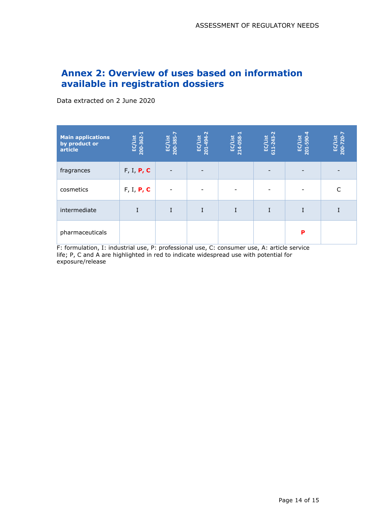# **Annex 2: Overview of uses based on information available in registration dossiers**

Data extracted on 2 June 2020

| <b>Main applications</b><br>by product or<br>article | EC/List<br>200-362-1 | 200-385-7<br><b>EC/List</b> | 201-494-2<br>EC/List | 214-058-1<br>EC/List | List<br>611-243<br>EQ. | EC/List<br>201-590 | EC/List<br>200-720-7 |
|------------------------------------------------------|----------------------|-----------------------------|----------------------|----------------------|------------------------|--------------------|----------------------|
| fragrances                                           | F, I, P, C           | $\overline{\phantom{a}}$    |                      |                      |                        |                    |                      |
| cosmetics                                            | F, I, P, C           | $\overline{\phantom{a}}$    |                      |                      |                        |                    |                      |
| intermediate                                         |                      | I                           |                      | I                    |                        |                    |                      |
| pharmaceuticals                                      |                      |                             |                      |                      |                        | P                  |                      |

F: formulation, I: industrial use, P: professional use, C: consumer use, A: article service life; P, C and A are highlighted in red to indicate widespread use with potential for exposure/release